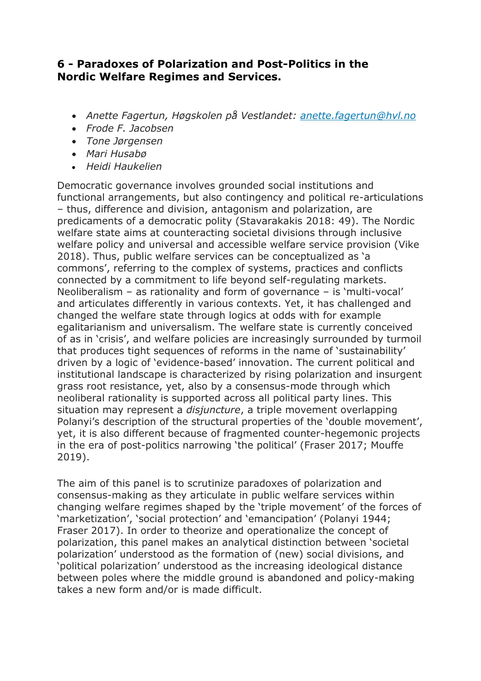## **6 - Paradoxes of Polarization and Post-Politics in the Nordic Welfare Regimes and Services.**

- *Anette Fagertun, Høgskolen på Vestlandet: [anette.fagertun@hvl.no](mailto:anette.fagertun@hvl.no)*
- *Frode F. Jacobsen*
- *Tone Jørgensen*
- *Mari Husabø*
- *Heidi Haukelien*

Democratic governance involves grounded social institutions and functional arrangements, but also contingency and political re-articulations – thus, difference and division, antagonism and polarization, are predicaments of a democratic polity (Stavarakakis 2018: 49). The Nordic welfare state aims at counteracting societal divisions through inclusive welfare policy and universal and accessible welfare service provision (Vike 2018). Thus, public welfare services can be conceptualized as 'a commons', referring to the complex of systems, practices and conflicts connected by a commitment to life beyond self-regulating markets. Neoliberalism – as rationality and form of governance – is 'multi-vocal' and articulates differently in various contexts. Yet, it has challenged and changed the welfare state through logics at odds with for example egalitarianism and universalism. The welfare state is currently conceived of as in 'crisis', and welfare policies are increasingly surrounded by turmoil that produces tight sequences of reforms in the name of 'sustainability' driven by a logic of 'evidence-based' innovation. The current political and institutional landscape is characterized by rising polarization and insurgent grass root resistance, yet, also by a consensus-mode through which neoliberal rationality is supported across all political party lines. This situation may represent a *disjuncture*, a triple movement overlapping Polanyi's description of the structural properties of the 'double movement', yet, it is also different because of fragmented counter-hegemonic projects in the era of post-politics narrowing 'the political' (Fraser 2017; Mouffe 2019).

The aim of this panel is to scrutinize paradoxes of polarization and consensus-making as they articulate in public welfare services within changing welfare regimes shaped by the 'triple movement' of the forces of 'marketization', 'social protection' and 'emancipation' (Polanyi 1944; Fraser 2017). In order to theorize and operationalize the concept of polarization, this panel makes an analytical distinction between 'societal polarization' understood as the formation of (new) social divisions, and 'political polarization' understood as the increasing ideological distance between poles where the middle ground is abandoned and policy-making takes a new form and/or is made difficult.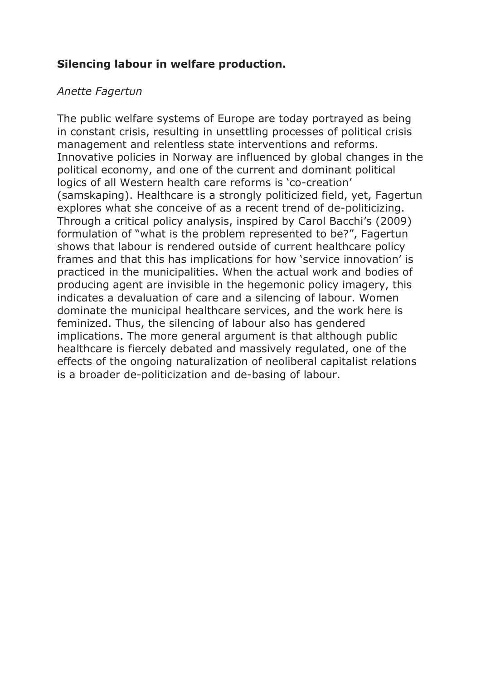# **Silencing labour in welfare production.**

# *Anette Fagertun*

The public welfare systems of Europe are today portrayed as being in constant crisis, resulting in unsettling processes of political crisis management and relentless state interventions and reforms. Innovative policies in Norway are influenced by global changes in the political economy, and one of the current and dominant political logics of all Western health care reforms is 'co-creation' (samskaping). Healthcare is a strongly politicized field, yet, Fagertun explores what she conceive of as a recent trend of de-politicizing. Through a critical policy analysis, inspired by Carol Bacchi's (2009) formulation of "what is the problem represented to be?", Fagertun shows that labour is rendered outside of current healthcare policy frames and that this has implications for how 'service innovation' is practiced in the municipalities. When the actual work and bodies of producing agent are invisible in the hegemonic policy imagery, this indicates a devaluation of care and a silencing of labour. Women dominate the municipal healthcare services, and the work here is feminized. Thus, the silencing of labour also has gendered implications. The more general argument is that although public healthcare is fiercely debated and massively regulated, one of the effects of the ongoing naturalization of neoliberal capitalist relations is a broader de-politicization and de-basing of labour.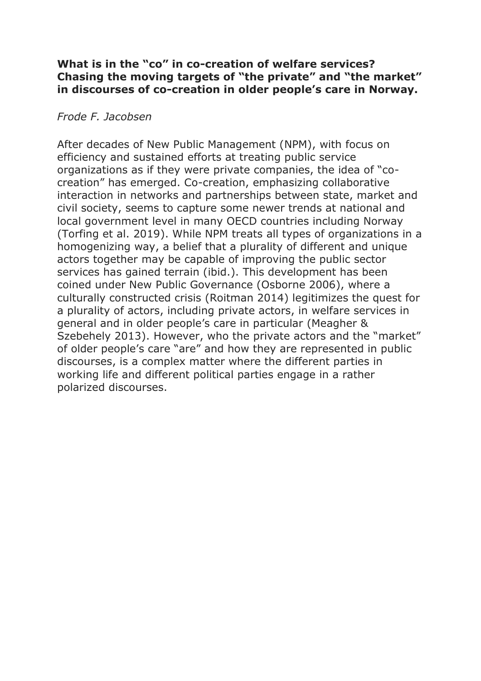#### **What is in the "co" in co-creation of welfare services? Chasing the moving targets of "the private" and "the market" in discourses of co-creation in older people's care in Norway.**

# *Frode F. Jacobsen*

After decades of New Public Management (NPM), with focus on efficiency and sustained efforts at treating public service organizations as if they were private companies, the idea of "cocreation" has emerged. Co-creation, emphasizing collaborative interaction in networks and partnerships between state, market and civil society, seems to capture some newer trends at national and local government level in many OECD countries including Norway (Torfing et al. 2019). While NPM treats all types of organizations in a homogenizing way, a belief that a plurality of different and unique actors together may be capable of improving the public sector services has gained terrain (ibid.). This development has been coined under New Public Governance (Osborne 2006), where a culturally constructed crisis (Roitman 2014) legitimizes the quest for a plurality of actors, including private actors, in welfare services in general and in older people's care in particular (Meagher & Szebehely 2013). However, who the private actors and the "market" of older people's care "are" and how they are represented in public discourses, is a complex matter where the different parties in working life and different political parties engage in a rather polarized discourses.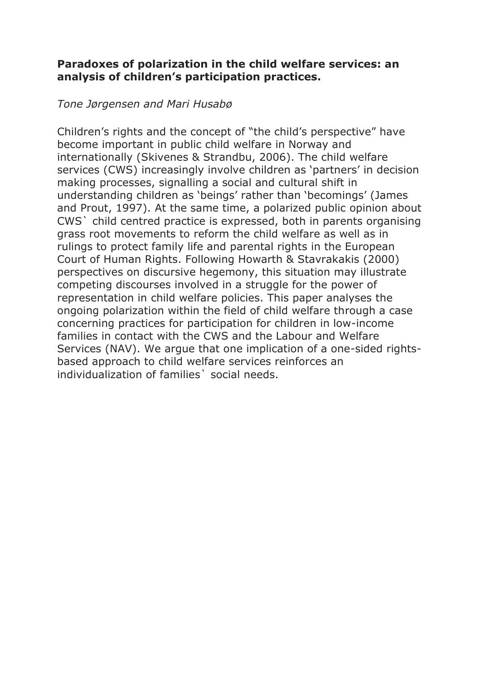## **Paradoxes of polarization in the child welfare services: an analysis of children's participation practices.**

## *Tone Jørgensen and Mari Husabø*

Children's rights and the concept of "the child's perspective" have become important in public child welfare in Norway and internationally (Skivenes & Strandbu, 2006). The child welfare services (CWS) increasingly involve children as 'partners' in decision making processes, signalling a social and cultural shift in understanding children as 'beings' rather than 'becomings' (James and Prout, 1997). At the same time, a polarized public opinion about CWS` child centred practice is expressed, both in parents organising grass root movements to reform the child welfare as well as in rulings to protect family life and parental rights in the European Court of Human Rights. Following Howarth & Stavrakakis (2000) perspectives on discursive hegemony, this situation may illustrate competing discourses involved in a struggle for the power of representation in child welfare policies. This paper analyses the ongoing polarization within the field of child welfare through a case concerning practices for participation for children in low-income families in contact with the CWS and the Labour and Welfare Services (NAV). We argue that one implication of a one-sided rightsbased approach to child welfare services reinforces an individualization of families` social needs.